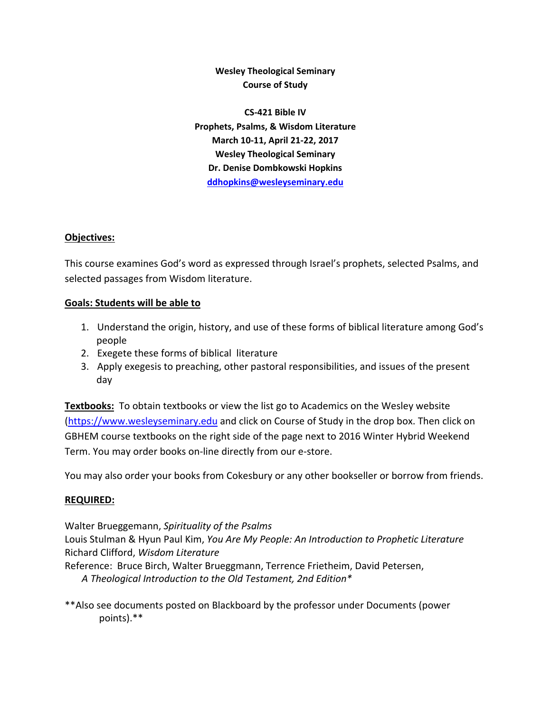**Wesley Theological Seminary Course of Study**

**CS‐421 Bible IV Prophets, Psalms, & Wisdom Literature March 10‐11, April 21‐22, 2017 Wesley Theological Seminary Dr. Denise Dombkowski Hopkins ddhopkins@wesleyseminary.edu**

### **Objectives:**

This course examines God's word as expressed through Israel's prophets, selected Psalms, and selected passages from Wisdom literature.

### **Goals: Students will be able to**

- 1. Understand the origin, history, and use of these forms of biblical literature among God's people
- 2. Exegete these forms of biblical literature
- 3. Apply exegesis to preaching, other pastoral responsibilities, and issues of the present day

**Textbooks:** To obtain textbooks or view the list go to Academics on the Wesley website (https://www.wesleyseminary.edu and click on Course of Study in the drop box. Then click on GBHEM course textbooks on the right side of the page next to 2016 Winter Hybrid Weekend Term. You may order books on‐line directly from our e‐store.

You may also order your books from Cokesbury or any other bookseller or borrow from friends.

### **REQUIRED:**

Walter Brueggemann, *Spirituality of the Psalms*

Louis Stulman & Hyun Paul Kim, *You Are My People: An Introduction to Prophetic Literature* Richard Clifford, *Wisdom Literature*

Reference: Bruce Birch, Walter Brueggmann, Terrence Frietheim, David Petersen,

*A Theological Introduction to the Old Testament, 2nd Edition\**

\*\*Also see documents posted on Blackboard by the professor under Documents (power points).\*\*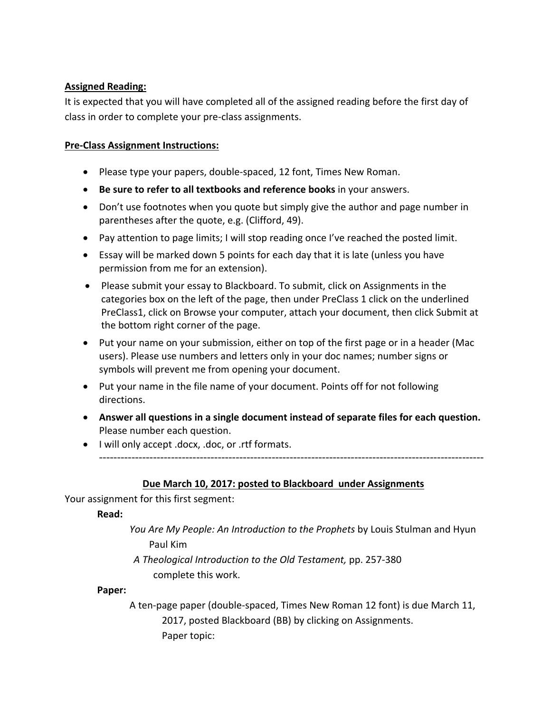## **Assigned Reading:**

It is expected that you will have completed all of the assigned reading before the first day of class in order to complete your pre‐class assignments.

### **Pre‐Class Assignment Instructions:**

- Please type your papers, double-spaced, 12 font, Times New Roman.
- **Be sure to refer to all textbooks and reference books** in your answers.
- Don't use footnotes when you quote but simply give the author and page number in parentheses after the quote, e.g. (Clifford, 49).
- Pay attention to page limits; I will stop reading once I've reached the posted limit.
- Essay will be marked down 5 points for each day that it is late (unless you have permission from me for an extension).
- Please submit your essay to Blackboard. To submit, click on Assignments in the categories box on the left of the page, then under PreClass 1 click on the underlined PreClass1, click on Browse your computer, attach your document, then click Submit at the bottom right corner of the page.
- Put your name on your submission, either on top of the first page or in a header (Mac users). Please use numbers and letters only in your doc names; number signs or symbols will prevent me from opening your document.
- Put your name in the file name of your document. Points off for not following directions.
- **Answer all questions in a single document instead of separate files for each question.** Please number each question.
- I will only accept .docx, .doc, or .rtf formats. -----------------------------------------------------------------------------------------------------------

## **Due March 10, 2017: posted to Blackboard under Assignments**

Your assignment for this first segment:

## **Read:**

- *You Are My People: An Introduction to the Prophets* by Louis Stulman and Hyun Paul Kim
- *A Theological Introduction to the Old Testament,* pp. 257‐380 complete this work.

### **Paper:**

A ten‐page paper (double‐spaced, Times New Roman 12 font) is due March 11, 2017, posted Blackboard (BB) by clicking on Assignments. Paper topic: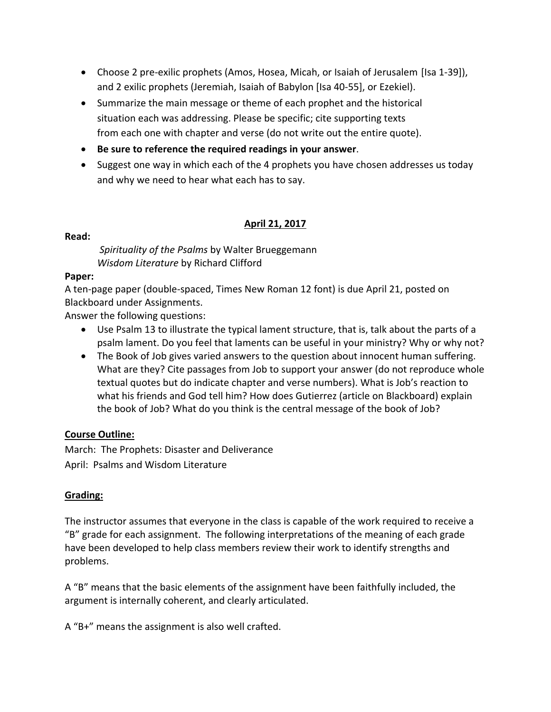- Choose 2 pre‐exilic prophets (Amos, Hosea, Micah, or Isaiah of Jerusalem [Isa 1‐39]), and 2 exilic prophets (Jeremiah, Isaiah of Babylon [Isa 40‐55], or Ezekiel).
- Summarize the main message or theme of each prophet and the historical situation each was addressing. Please be specific; cite supporting texts from each one with chapter and verse (do not write out the entire quote).
- **Be sure to reference the required readings in your answer**.
- Suggest one way in which each of the 4 prophets you have chosen addresses us today and why we need to hear what each has to say.

### **April 21, 2017**

### **Read:**

*Spirituality of the Psalms* by Walter Brueggemann *Wisdom Literature* by Richard Clifford

### **Paper:**

A ten‐page paper (double‐spaced, Times New Roman 12 font) is due April 21, posted on Blackboard under Assignments.

Answer the following questions:

- Use Psalm 13 to illustrate the typical lament structure, that is, talk about the parts of a psalm lament. Do you feel that laments can be useful in your ministry? Why or why not?
- The Book of Job gives varied answers to the question about innocent human suffering. What are they? Cite passages from Job to support your answer (do not reproduce whole textual quotes but do indicate chapter and verse numbers). What is Job's reaction to what his friends and God tell him? How does Gutierrez (article on Blackboard) explain the book of Job? What do you think is the central message of the book of Job?

## **Course Outline:**

March: The Prophets: Disaster and Deliverance April: Psalms and Wisdom Literature

## **Grading:**

The instructor assumes that everyone in the class is capable of the work required to receive a "B" grade for each assignment. The following interpretations of the meaning of each grade have been developed to help class members review their work to identify strengths and problems.

A "B" means that the basic elements of the assignment have been faithfully included, the argument is internally coherent, and clearly articulated.

A "B+" means the assignment is also well crafted.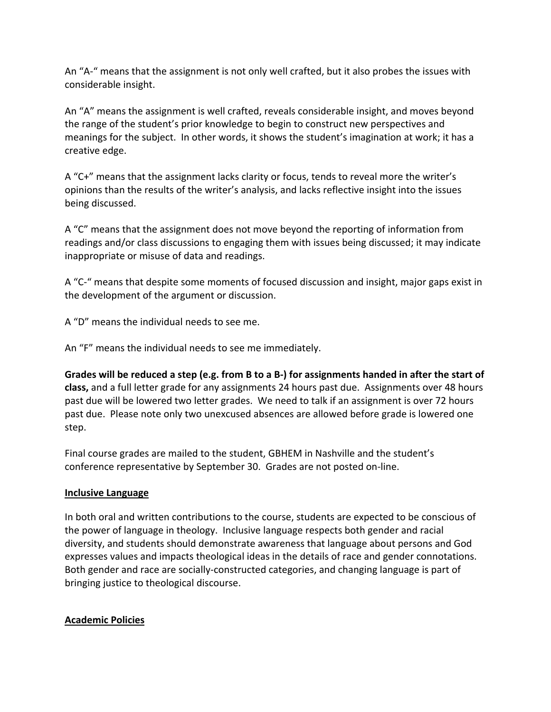An "A-" means that the assignment is not only well crafted, but it also probes the issues with considerable insight.

An "A" means the assignment is well crafted, reveals considerable insight, and moves beyond the range of the student's prior knowledge to begin to construct new perspectives and meanings for the subject. In other words, it shows the student's imagination at work; it has a creative edge.

A "C+" means that the assignment lacks clarity or focus, tends to reveal more the writer's opinions than the results of the writer's analysis, and lacks reflective insight into the issues being discussed.

A "C" means that the assignment does not move beyond the reporting of information from readings and/or class discussions to engaging them with issues being discussed; it may indicate inappropriate or misuse of data and readings.

A "C‐" means that despite some moments of focused discussion and insight, major gaps exist in the development of the argument or discussion.

A "D" means the individual needs to see me.

An "F" means the individual needs to see me immediately.

Grades will be reduced a step (e.g. from B to a B-) for assignments handed in after the start of **class,** and a full letter grade for any assignments 24 hours past due. Assignments over 48 hours past due will be lowered two letter grades. We need to talk if an assignment is over 72 hours past due. Please note only two unexcused absences are allowed before grade is lowered one step.

Final course grades are mailed to the student, GBHEM in Nashville and the student's conference representative by September 30. Grades are not posted on‐line.

## **Inclusive Language**

In both oral and written contributions to the course, students are expected to be conscious of the power of language in theology. Inclusive language respects both gender and racial diversity, and students should demonstrate awareness that language about persons and God expresses values and impacts theological ideas in the details of race and gender connotations. Both gender and race are socially‐constructed categories, and changing language is part of bringing justice to theological discourse.

# **Academic Policies**